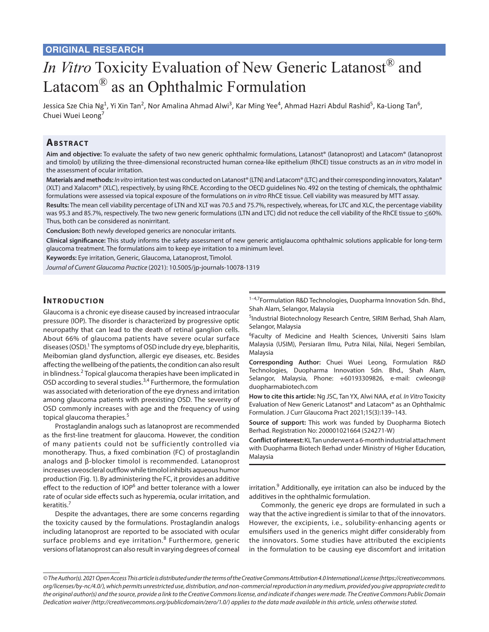# *In Vitro* Toxicity Evaluation of New Generic Latanost® and Latacom® as an Ophthalmic Formulation

Jessica Sze Chia Ng<sup>1</sup>, Yi Xin Tan<sup>2</sup>, Nor Amalina Ahmad Alwi<sup>3</sup>, Kar Ming Yee<sup>4</sup>, Ahmad Hazri Abdul Rashid<sup>5</sup>, Ka-Liong Tan<sup>6</sup>, Chuei Wuei Leong<sup>7</sup>

# **ABSTRACT**

**Aim and objective:** To evaluate the safety of two new generic ophthalmic formulations, Latanost® (latanoprost) and Latacom® (latanoprost and timolol) by utilizing the three-dimensional reconstructed human cornea-like epithelium (RhCE) tissue constructs as an *in vitro* model in the assessment of ocular irritation.

**Materials and methods:** *In vitro* irritation test was conducted on Latanost® (LTN) and Latacom® (LTC) and their corresponding innovators, Xalatan® (XLT) and Xalacom® (XLC), respectively, by using RhCE. According to the OECD guidelines No. 492 on the testing of chemicals, the ophthalmic formulations were assessed via topical exposure of the formulations on *in vitro* RhCE tissue. Cell viability was measured by MTT assay.

**Results:** The mean cell viability percentage of LTN and XLT was 70.5 and 75.7%, respectively, whereas, for LTC and XLC, the percentage viability was 95.3 and 85.7%, respectively. The two new generic formulations (LTN and LTC) did not reduce the cell viability of the RhCE tissue to ≤60%. Thus, both can be considered as nonirritant.

**Conclusion:** Both newly developed generics are nonocular irritants.

**Clinical significance:** This study informs the safety assessment of new generic antiglaucoma ophthalmic solutions applicable for long-term glaucoma treatment. The formulations aim to keep eye irritation to a minimum level.

**Keywords:** Eye irritation, Generic, Glaucoma, Latanoprost, Timolol.

*Journal of Current Glaucoma Practice* (2021): 10.5005/jp-journals-10078-1319

# **INTRODUCTION**

Glaucoma is a chronic eye disease caused by increased intraocular pressure (IOP). The disorder is characterized by progressive optic neuropathy that can lead to the death of retinal ganglion cells. About 66% of glaucoma patients have severe ocular surface diseases (OSD).<sup>1</sup> The symptoms of OSD include dry eye, blepharitis, Meibomian gland dysfunction, allergic eye diseases, etc. Besides affecting the wellbeing of the patients, the condition can also result in blindness.<sup>2</sup> Topical glaucoma therapies have been implicated in OSD according to several studies.<sup>3,4</sup> Furthermore, the formulation was associated with deterioration of the eye dryness and irritation among glaucoma patients with preexisting OSD. The severity of OSD commonly increases with age and the frequency of using topical glaucoma therapies.<sup>5</sup>

Prostaglandin analogs such as latanoprost are recommended as the first-line treatment for glaucoma. However, the condition of many patients could not be sufficiently controlled via monotherapy. Thus, a fixed combination (FC) of prostaglandin analogs and β-blocker timolol is recommended. Latanoprost increases uveoscleral outflow while timolol inhibits aqueous humor production (Fig. 1). By administering the FC, it provides an additive effect to the reduction of IOP<sup>6</sup> and better tolerance with a lower rate of ocular side effects such as hyperemia, ocular irritation, and keratitis.7

Despite the advantages, there are some concerns regarding the toxicity caused by the formulations. Prostaglandin analogs including latanoprost are reported to be associated with ocular surface problems and eye irritation.<sup>8</sup> Furthermore, generic versions of latanoprost can also result in varying degrees of corneal

<sup>1-4,7</sup>Formulation R&D Technologies, Duopharma Innovation Sdn. Bhd., Shah Alam, Selangor, Malaysia

<sup>5</sup>Industrial Biotechnology Research Centre, SIRIM Berhad, Shah Alam, Selangor, Malaysia

<sup>6</sup>Faculty of Medicine and Health Sciences, Universiti Sains Islam Malaysia (USIM), Persiaran Ilmu, Putra Nilai, Nilai, Negeri Sembilan, Malaysia

**Corresponding Author:** Chuei Wuei Leong, Formulation R&D Technologies, Duopharma Innovation Sdn. Bhd., Shah Alam, Selangor, Malaysia, Phone: +60193309826, e-mail: cwleong@ duopharmabiotech.com

**How to cite this article:** Ng JSC, Tan YX, Alwi NAA, *et al. In Vitro* Toxicity Evaluation of New Generic Latanost® and Latacom® as an Ophthalmic Formulation. J Curr Glaucoma Pract 2021;15(3):139–143.

**Source of support:** This work was funded by Duopharma Biotech Berhad. Registration No: 200001021664 (524271-W)

**Conflict of interest:** KL Tan underwent a 6-month industrial attachment with Duopharma Biotech Berhad under Ministry of Higher Education, Malaysia

irritation.<sup>9</sup> Additionally, eye irritation can also be induced by the additives in the ophthalmic formulation.

Commonly, the generic eye drops are formulated in such a way that the active ingredient is similar to that of the innovators. However, the excipients, i.e., solubility-enhancing agents or emulsifiers used in the generics might differ considerably from the innovators. Some studies have attributed the excipients in the formulation to be causing eye discomfort and irritation

*<sup>©</sup> The Author(s). 2021 Open Access This article is distributed under the terms of the Creative Commons Attribution 4.0 International License (https://creativecommons. org/licenses/by-nc/4.0/), which permits unrestricted use, distribution, and non-commercial reproduction in any medium, provided you give appropriate credit to the original author(s) and the source, provide a link to the Creative Commons license, and indicate if changes were made. The Creative Commons Public Domain Dedication waiver (http://creativecommons.org/publicdomain/zero/1.0/) applies to the data made available in this article, unless otherwise stated.*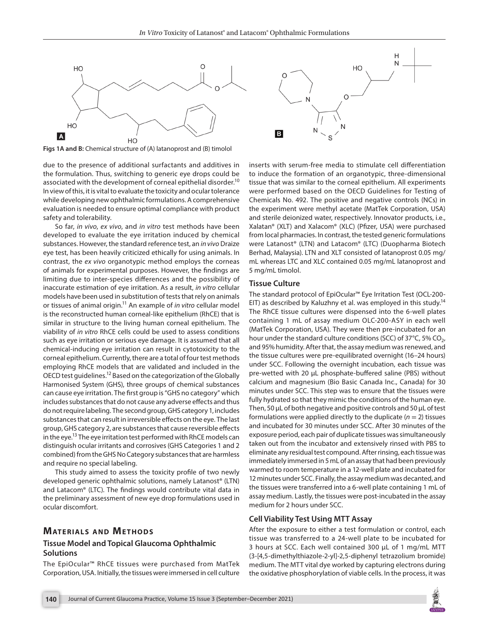

**Figs 1A and B:** Chemical structure of (A) latanoprost and (B) timolol

due to the presence of additional surfactants and additives in the formulation. Thus, switching to generic eye drops could be associated with the development of corneal epithelial disorder.<sup>10</sup> In view of this, it is vital to evaluate the toxicity and ocular tolerance while developing new ophthalmic formulations. A comprehensive evaluation is needed to ensure optimal compliance with product safety and tolerability.

So far, *in vivo*, *ex vivo*, and *in vitro* test methods have been developed to evaluate the eye irritation induced by chemical substances. However, the standard reference test, an *in vivo* Draize eye test, has been heavily criticized ethically for using animals. In contrast, the *ex vivo* organotypic method employs the corneas of animals for experimental purposes. However, the findings are limiting due to inter-species differences and the possibility of inaccurate estimation of eye irritation. As a result, *in vitro* cellular models have been used in substitution of tests that rely on animals or tissues of animal origin.11 An example of *in vitro* cellular model is the reconstructed human corneal-like epithelium (RhCE) that is similar in structure to the living human corneal epithelium. The viability of *in vitro* RhCE cells could be used to assess conditions such as eye irritation or serious eye damage. It is assumed that all chemical-inducing eye irritation can result in cytotoxicity to the corneal epithelium. Currently, there are a total of four test methods employing RhCE models that are validated and included in the OECD test guidelines.12 Based on the categorization of the Globally Harmonised System (GHS), three groups of chemical substances can cause eye irritation. The first group is "GHS no category" which includes substances that do not cause any adverse effects and thus do not require labeling. The second group, GHS category 1, includes substances that can result in irreversible effects on the eye. The last group, GHS category 2, are substances that cause reversible effects in the eye.<sup>13</sup> The eye irritation test performed with RhCE models can distinguish ocular irritants and corrosives (GHS Categories 1 and 2 combined) from the GHS No Category substances that are harmless and require no special labeling.

This study aimed to assess the toxicity profile of two newly developed generic ophthalmic solutions, namely Latanost® (LTN) and Latacom® (LTC). The findings would contribute vital data in the preliminary assessment of new eye drop formulations used in ocular discomfort.

## **MATERIALS AND METHODS**

### **Tissue Model and Topical Glaucoma Ophthalmic Solutions**

The EpiOcular™ RhCE tissues were purchased from MatTek Corporation, USA. Initially, the tissues were immersed in cell culture



inserts with serum-free media to stimulate cell differentiation to induce the formation of an organotypic, three-dimensional tissue that was similar to the corneal epithelium. All experiments were performed based on the OECD Guidelines for Testing of Chemicals No. 492. The positive and negative controls (NCs) in the experiment were methyl acetate (MatTek Corporation, USA) and sterile deionized water, respectively. Innovator products, i.e., Xalatan® (XLT) and Xalacom® (XLC) (Pfizer, USA) were purchased from local pharmacies. In contrast, the tested generic formulations were Latanost® (LTN) and Latacom® (LTC) (Duopharma Biotech Berhad, Malaysia). LTN and XLT consisted of latanoprost 0.05 mg/ mL whereas LTC and XLC contained 0.05 mg/mL latanoprost and 5 mg/mL timolol.

#### **Tissue Culture**

The standard protocol of EpiOcular™ Eye Irritation Test (OCL-200- EIT) as described by Kaluzhny et al. was employed in this study.<sup>14</sup> The RhCE tissue cultures were dispensed into the 6-well plates containing 1 mL of assay medium OLC-200-ASY in each well (MatTek Corporation, USA). They were then pre-incubated for an hour under the standard culture conditions (SCC) of 37 $^{\circ}$ C, 5% CO<sub>2</sub>, and 95% humidity. After that, the assay medium was renewed, and the tissue cultures were pre-equilibrated overnight (16–24 hours) under SCC. Following the overnight incubation, each tissue was pre-wetted with 20 μL phosphate-buffered saline (PBS) without calcium and magnesium (Bio Basic Canada Inc., Canada) for 30 minutes under SCC. This step was to ensure that the tissues were fully hydrated so that they mimic the conditions of the human eye. Then, 50 μL of both negative and positive controls and 50 μL of test formulations were applied directly to the duplicate  $(n = 2)$  tissues and incubated for 30 minutes under SCC. After 30 minutes of the exposure period, each pair of duplicate tissues was simultaneously taken out from the incubator and extensively rinsed with PBS to eliminate any residual test compound. After rinsing, each tissue was immediately immersed in 5 mL of an assay that had been previously warmed to room temperature in a 12-well plate and incubated for 12 minutes under SCC. Finally, the assay medium was decanted, and the tissues were transferred into a 6-well plate containing 1 mL of assay medium. Lastly, the tissues were post-incubated in the assay medium for 2 hours under SCC.

#### **Cell Viability Test Using MTT Assay**

After the exposure to either a test formulation or control, each tissue was transferred to a 24-well plate to be incubated for 3 hours at SCC. Each well contained 300 μL of 1 mg/mL MTT (3-[4,5-dimethylthiazole-2-yl]-2,5-diphenyl tetrazolium bromide) medium. The MTT vital dye worked by capturing electrons during the oxidative phosphorylation of viable cells. In the process, it was

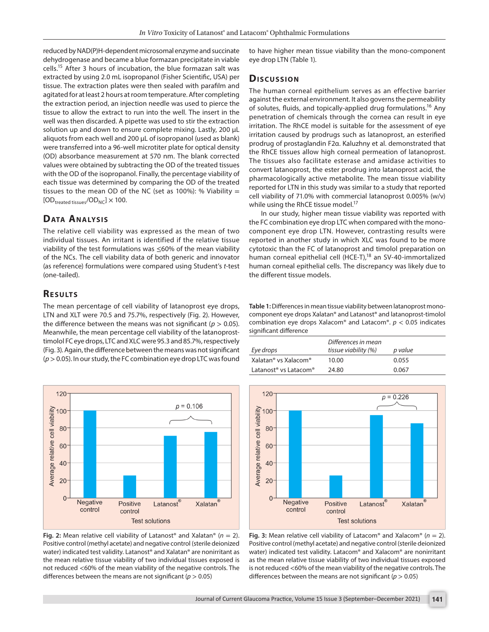reduced by NAD(P)H-dependent microsomal enzyme and succinate dehydrogenase and became a blue formazan precipitate in viable cells.15 After 3 hours of incubation, the blue formazan salt was extracted by using 2.0 mL isopropanol (Fisher Scientific, USA) per tissue. The extraction plates were then sealed with parafilm and agitated for at least 2 hours at room temperature. After completing the extraction period, an injection needle was used to pierce the tissue to allow the extract to run into the well. The insert in the well was then discarded. A pipette was used to stir the extraction solution up and down to ensure complete mixing. Lastly, 200 μL aliquots from each well and 200 μL of isopropanol (used as blank) were transferred into a 96-well microtiter plate for optical density (OD) absorbance measurement at 570 nm. The blank corrected values were obtained by subtracting the OD of the treated tissues with the OD of the isopropanol. Finally, the percentage viability of each tissue was determined by comparing the OD of the treated tissues to the mean OD of the NC (set as 100%): % Viability  $=$  $[OD_{treated}$  tissues/ $OD_{NC}$ ]  $\times$  100.

# **Data Analysis**

The relative cell viability was expressed as the mean of two individual tissues. An irritant is identified if the relative tissue viability of the test formulations was ≤60% of the mean viability of the NCs. The cell viability data of both generic and innovator (as reference) formulations were compared using Student's *t*-test (one-tailed).

## **RESULTS**

The mean percentage of cell viability of latanoprost eye drops, LTN and XLT were 70.5 and 75.7%, respectively (Fig. 2). However, the difference between the means was not significant ( $p > 0.05$ ). Meanwhile, the mean percentage cell viability of the latanoprosttimolol FC eye drops, LTC and XLC were 95.3 and 85.7%, respectively (Fig. 3). Again, the difference between the means was not significant (*p*> 0.05). In our study, the FC combination eye drop LTC was found



**Fig. 2:** Mean relative cell viability of Latanost® and Xalatan® (*n* = 2). Positive control (methyl acetate) and negative control (sterile deionized water) indicated test validity. Latanost® and Xalatan® are nonirritant as the mean relative tissue viability of two individual tissues exposed is not reduced <60% of the mean viability of the negative controls. The differences between the means are not significant (*p* > 0.05)

to have higher mean tissue viability than the mono-component eye drop LTN (Table 1).

#### **Dis c u s sio n**

The human corneal epithelium serves as an effective barrier against the external environment. It also governs the permeability of solutes, fluids, and topically-applied drug formulations.<sup>16</sup> Any penetration of chemicals through the cornea can result in eye irritation. The RhCE model is suitable for the assessment of eye irritation caused by prodrugs such as latanoprost, an esterified prodrug of prostaglandin F2α. Kaluzhny et al. demonstrated that the RhCE tissues allow high corneal permeation of latanoprost. The tissues also facilitate esterase and amidase activities to convert latanoprost, the ester prodrug into latanoprost acid, the pharmacologically active metabolite. The mean tissue viability reported for LTN in this study was similar to a study that reported cell viability of 71.0% with commercial latanoprost 0.005% (w/v) while using the RhCE tissue model.<sup>17</sup>

In our study, higher mean tissue viability was reported with the FC combination eye drop LTC when compared with the monocomponent eye drop LTN. However, contrasting results were reported in another study in which XLC was found to be more cytotoxic than the FC of latanoprost and timolol preparation on human corneal epithelial cell (HCE-T),<sup>18</sup> an SV-40-immortalized human corneal epithelial cells. The discrepancy was likely due to the different tissue models.

**Table 1:** Differences in mean tissue viability between latanoprost monocomponent eye drops Xalatan® and Latanost® and latanoprost-timolol combination eye drops Xalacom® and Latacom®. *p* < 0.05 indicates significant difference

| Eye drops                                     | Differences in mean<br>tissue viability (%) | p value |
|-----------------------------------------------|---------------------------------------------|---------|
| Xalatan <sup>®</sup> vs Xalacom <sup>®</sup>  | 10.00                                       | 0.055   |
| Latanost <sup>®</sup> vs Latacom <sup>®</sup> | 24.80                                       | 0.067   |



**Fig. 3:** Mean relative cell viability of Latacom® and Xalacom® (*n* = 2). Positive control (methyl acetate) and negative control (sterile deionized water) indicated test validity. Latacom® and Xalacom® are nonirritant as the mean relative tissue viability of two individual tissues exposed is not reduced <60% of the mean viability of the negative controls. The differences between the means are not significant (*p* > 0.05)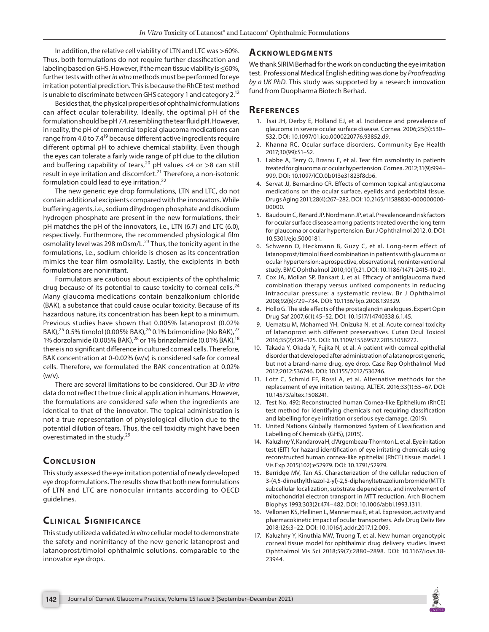In addition, the relative cell viability of LTN and LTC was >60%. Thus, both formulations do not require further classification and labeling based on GHS. However, if the mean tissue viability is ≤60%, further tests with other *in vitro* methods must be performed for eye irritation potential prediction. This is because the RhCE test method is unable to discriminate between GHS category 1 and category 2.<sup>12</sup>

Besides that, the physical properties of ophthalmic formulations can affect ocular tolerability. Ideally, the optimal pH of the formulation should be pH 7.4, resembling the tear fluid pH. However, in reality, the pH of commercial topical glaucoma medications can range from 4.0 to 7.4<sup>19</sup> because different active ingredients require different optimal pH to achieve chemical stability. Even though the eyes can tolerate a fairly wide range of pH due to the dilution and buffering capability of tears,<sup>20</sup> pH values <4 or >8 can still result in eye irritation and discomfort.<sup>21</sup> Therefore, a non-isotonic formulation could lead to eye irritation.<sup>22</sup>

The new generic eye drop formulations, LTN and LTC, do not contain additional excipients compared with the innovators. While buffering agents, i.e., sodium dihydrogen phosphate and disodium hydrogen phosphate are present in the new formulations, their pH matches the pH of the innovators, i.e., LTN (6.7) and LTC (6.0), respectively. Furthermore, the recommended physiological film osmolality level was 298 mOsm/L.<sup>23</sup> Thus, the tonicity agent in the formulations, i.e., sodium chloride is chosen as its concentration mimics the tear film osmolality. Lastly, the excipients in both formulations are nonirritant.

Formulators are cautious about excipients of the ophthalmic drug because of its potential to cause toxicity to corneal cells. $24$ Many glaucoma medications contain benzalkonium chloride (BAK), a substance that could cause ocular toxicity. Because of its hazardous nature, its concentration has been kept to a minimum. Previous studies have shown that 0.005% latanoprost (0.02% BAK),<sup>25</sup> 0.5% timolol (0.005% BAK),<sup>26</sup> 0.1% brimonidine (No BAK),<sup>27</sup> 1% dorzolamide (0.005% BAK),  $^{28}$  or 1% brinzolamide (0.01% BAK),  $^{18}$ there is no significant difference in cultured corneal cells. Therefore, BAK concentration at 0-0.02% (w/v) is considered safe for corneal cells. Therefore, we formulated the BAK concentration at 0.02% (w/v).

There are several limitations to be considered. Our 3D *in vitro* data do not reflect the true clinical application in humans. However, the formulations are considered safe when the ingredients are identical to that of the innovator. The topical administration is not a true representation of physiological dilution due to the potential dilution of tears. Thus, the cell toxicity might have been overestimated in the study.<sup>29</sup>

# **CONCLUSION**

This study assessed the eye irritation potential of newly developed eye drop formulations. The results show that both new formulations of LTN and LTC are nonocular irritants according to OECD guidelines.

# **CLINICAL SIGNIFICANCE**

This study utilized a validated *in vitro* cellular model to demonstrate the safety and nonirritancy of the new generic latanoprost and latanoprost/timolol ophthalmic solutions, comparable to the innovator eye drops.

# **Ac k n ow l e d gme n ts**

We thank SIRIM Berhad for the work on conducting the eye irritation test. Professional Medical English editing was done by *Proofreading by a UK PhD*. This study was supported by a research innovation fund from Duopharma Biotech Berhad.

# **REFERENCES**

- 1. Tsai JH, Derby E, Holland EJ, et al. Incidence and prevalence of glaucoma in severe ocular surface disease. Cornea. 2006;25(5):530– 532. DOI: 10.1097/01.ico.0000220776.93852.d9.
- 2. Khanna RC. Ocular surface disorders. Community Eye Health 2017;30(99):S1–S2.
- 3. Labbe A, Terry O, Brasnu E, et al. Tear film osmolarity in patients treated for glaucoma or ocular hypertension. Cornea. 2012;31(9):994– 999. DOI: 10.1097/ICO.0b013e31823f8cb6.
- 4. Servat JJ, Bernardino CR. Effects of common topical antiglaucoma medications on the ocular surface, eyelids and periorbital tissue. Drugs Aging 2011;28(4):267–282. DOI: 10.2165/11588830-000000000- 00000.
- 5. Baudouin C, Renard JP, Nordmann JP, et al. Prevalence and risk factors for ocular surface disease among patients treated over the long term for glaucoma or ocular hypertension. Eur J Ophthalmol 2012. 0. DOI: 10.5301/ejo.5000181.
- 6. Schwenn O, Heckmann B, Guzy C, et al. Long-term effect of latanoprost/timolol fixed combination in patients with glaucoma or ocular hypertension: a prospective, observational, noninterventional study. BMC Ophthalmol 2010;10(1):21. DOI: 10.1186/1471-2415-10-21.
- 7. Cox JA, Mollan SP, Bankart J, et al. Efficacy of antiglaucoma fixed combination therapy versus unfixed components in reducing intraocular pressure: a systematic review. Br J Ophthalmol 2008;92(6):729–734. DOI: 10.1136/bjo.2008.139329.
- 8. Hollo G. The side effects of the prostaglandin analogues. Expert Opin Drug Saf 2007;6(1):45–52. DOI: 10.1517/14740338.6.1.45.
- 9. Uematsu M, Mohamed YH, Onizuka N, et al. Acute corneal toxicity of latanoprost with different preservatives. Cutan Ocul Toxicol 2016;35(2):120–125. DOI: 10.3109/15569527.2015.1058272.
- 10. Takada Y, Okada Y, Fujita N, et al. A patient with corneal epithelial disorder that developed after administration of a latanoprost generic, but not a brand-name drug, eye drop. Case Rep Ophthalmol Med 2012;2012:536746. DOI: 10.1155/2012/536746.
- 11. Lotz C, Schmid FF, Rossi A, et al. Alternative methods for the replacement of eye irritation testing. ALTEX. 2016;33(1):55–67. DOI: 10.14573/altex.1508241.
- 12. Test No. 492: Reconstructed human Cornea-like Epithelium (RhCE) test method for identifying chemicals not requiring classification and labelling for eye irritation or serious eye damage, (2019).
- 13. United Nations Globally Harmonized System of Classification and Labelling of Chemicals (GHS), (2015).
- 14. Kaluzhny Y, Kandarova H, d'Argembeau-Thornton L, et al. Eye irritation test (EIT) for hazard identification of eye irritating chemicals using reconstructed human cornea-like epithelial (RhCE) tissue model. J Vis Exp 2015(102):e52979. DOI: 10.3791/52979.
- 15. Berridge MV, Tan AS. Characterization of the cellular reduction of 3-(4,5-dimethylthiazol-2-yl)-2,5-diphenyltetrazolium bromide (MTT): subcellular localization, substrate dependence, and involvement of mitochondrial electron transport in MTT reduction. Arch Biochem Biophys 1993;303(2):474–482. DOI: 10.1006/abbi.1993.1311.
- 16. Vellonen KS, Hellinen L, Mannermaa E, et al. Expression, activity and pharmacokinetic impact of ocular transporters. Adv Drug Deliv Rev 2018;126:3–22. DOI: 10.1016/j.addr.2017.12.009.
- 17. Kaluzhny Y, Kinuthia MW, Truong T, et al. New human organotypic corneal tissue model for ophthalmic drug delivery studies. Invest Ophthalmol Vis Sci 2018;59(7):2880–2898. DOI: 10.1167/iovs.18- 23944.